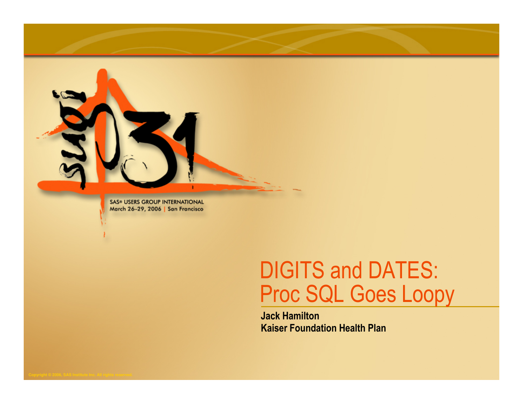

**SAS® USERS GROUP INTERNATIONAL** March 26-29, 2006 | San Francisco

#### DIGITS and DATES: Proc SQL Goes Loopy

Jack HamiltonKaiser Foundation Health Plan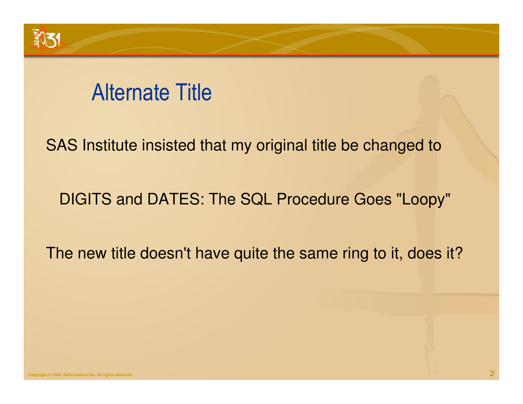# Alternate Title

SAS Institute insisted that my original title be changed to

DIGITS and DATES: The SQL Procedure Goes "Loopy"

The new title doesn't have quite the same ring to it, does it?

 $3031$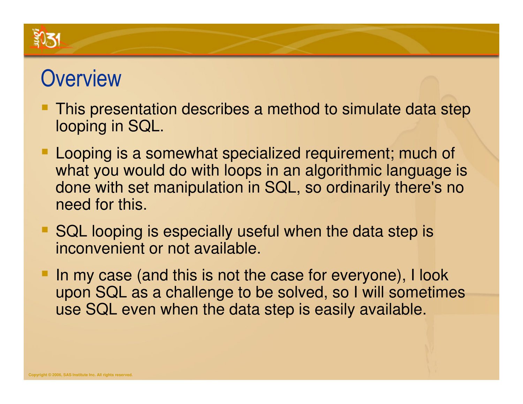# **Overview**

- This presentation describes a method to simulate data step looping in SQL.
- Looping is a somewhat specialized requirement; much of what you would do with loops in an algorithmic language is done with set manipulation in SQL, so ordinarily there's no need for this.
- SQL looping is especially useful when the data step is inconvenient or not available.
- In my case (and this is not the case for everyone), I look upon SQL as a challenge to be solved, so I will sometimes use SQL even when the data step is easily available.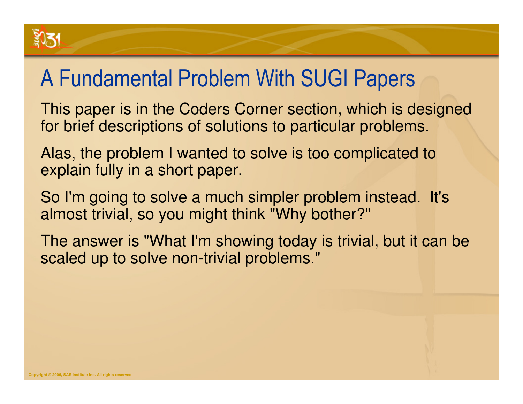# A Fundamental Problem With SUGI Papers

This paper is in the Coders Corner section, which is designed for brief descriptions of solutions to particular problems.

Alas, the problem I wanted to solve is too complicated to explain fully in a short paper.

So I'm going to solve a much simpler problem instead. It's almost trivial, so you might think "Why bother?"

The answer is "What I'm showing today is trivial, but it can be scaled up to solve non-trivial problems."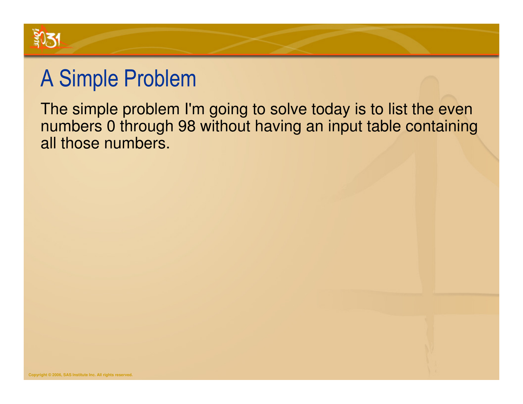

# A Simple Problem

 The simple problem I'm going to solve today is to list the even numbers 0 through 98 without having an input table containing all those numbers.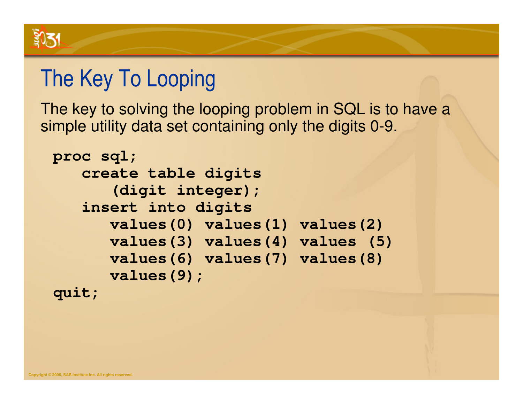

# The Key To Looping

The key to solving the looping problem in SQL is to have a simple utility data set containing only the digits 0-9.

```
proc sql;
create table digits
(digit integer);
insert into digits
values(0) values(1) values(2)
values(3) values(4) values (5)values(6) values(7) values(8)values(9);quit;
```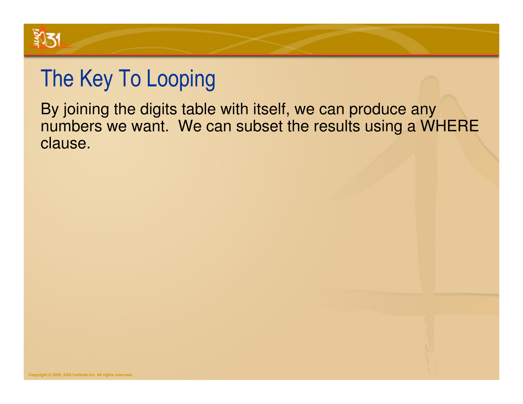

# The Key To Looping

By joining the digits table with itself, we can produce any numbers we want. We can subset the results using a WHERE clause.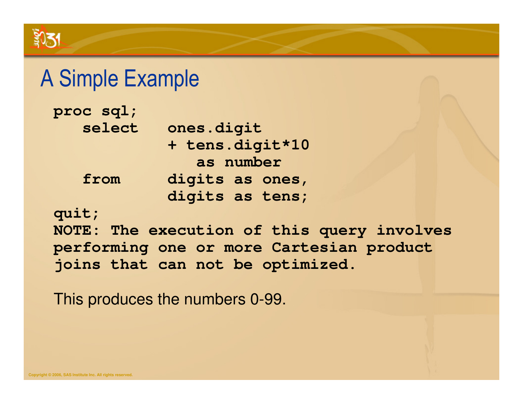#### A Simple Example

| proc sql; |                 |
|-----------|-----------------|
| select    | ones.digit      |
|           | + tens.digit*10 |
|           | as number       |
| from      | digits as ones, |
|           | digits as tens; |

**quit;**

 **NOTE: The execution of this query involves performing one or more Cartesian product joins that can not be optimized.**

This produces the numbers 0-99.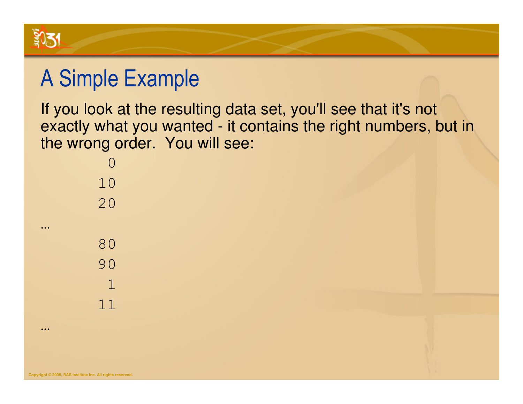

# A Simple Example

If you look at the resulting data set, you'll see that it's not exactly what you wanted - it contains the right numbers, but in the wrong order. You will see:

| 10                                   |
|--------------------------------------|
| 20                                   |
|                                      |
| 80                                   |
| 90                                   |
| $\mathbf 1$                          |
| $\begin{array}{c} 1 \ 1 \end{array}$ |
|                                      |

…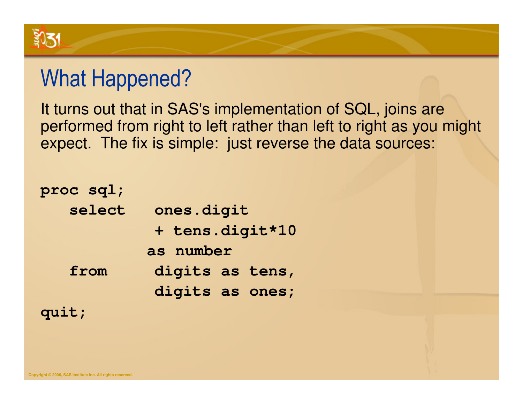

#### What Happened?

It turns out that in SAS's implementation of SQL, joins are performed from right to left rather than left to right as you might expect. The fix is simple: just reverse the data sources:

| proc sql; |                 |
|-----------|-----------------|
| select    | ones.digit      |
|           | + tens.digit*10 |
|           | as number       |
| from      | digits as tens, |
|           | digits as ones; |
| quit;     |                 |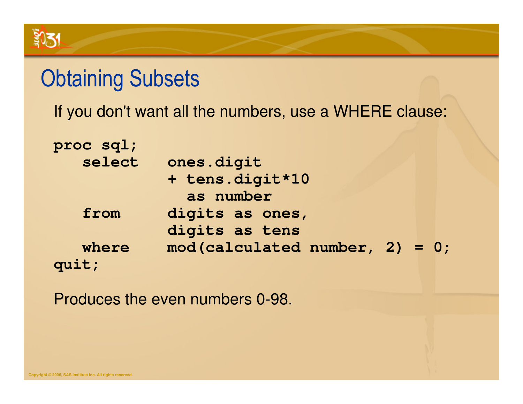#### **Obtaining Subsets**

If you don't want all the numbers, use a WHERE clause:

| proc sql; |                                  |
|-----------|----------------------------------|
| select    | ones.digit                       |
|           | + tens.digit*10                  |
|           | as number                        |
| from      | digits as ones,                  |
|           | digits as tens                   |
| where     | $mod(calculated number, 2) = 0;$ |
| quit;     |                                  |

Produces the even numbers 0-98.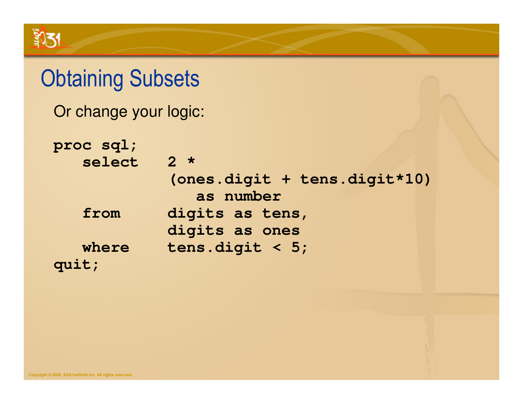# **Obtaining Subsets**

Or change your logic:

| proc sql; |                                           |
|-----------|-------------------------------------------|
| select    | $2 *$                                     |
|           | (ones.digit + tens.digit*10)<br>as number |
| from      | digits as tens,                           |
|           | digits as ones                            |
| where     | tens.digit < $5;$                         |
| quit;     |                                           |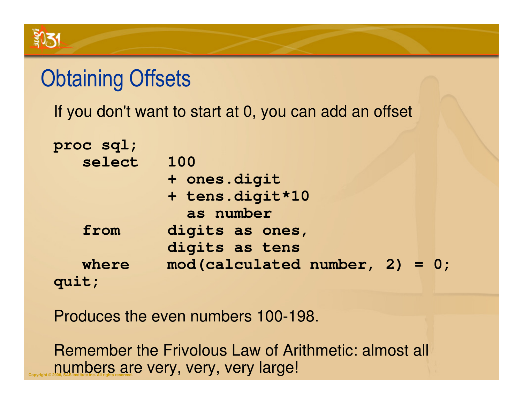# **Obtaining Offsets**

If you don't want to start at 0, you can add an offset

| proc sql; |                                  |
|-----------|----------------------------------|
| select    | 100                              |
|           | + ones.digit                     |
|           | + tens.digit*10                  |
|           | as number                        |
| from      | digits as ones,                  |
|           | digits as tens                   |
| where     | $mod(calculated number, 2) = 0;$ |
| quit;     |                                  |

Produces the even numbers 100-198.

**Copyright © 2006, SAS Institute Inc. All rights reserved.**<br>Copyright © 2006, SAS Institute Inc. All rights reserved. Remember the Frivolous Law of Arithmetic: almost all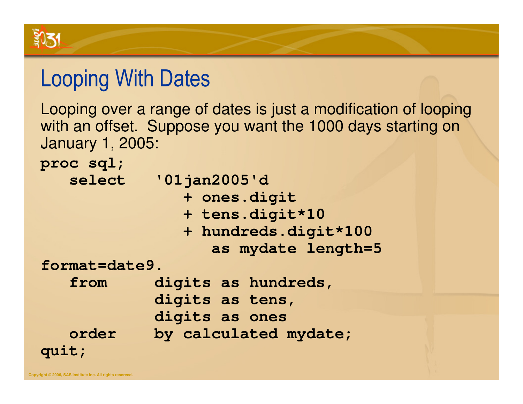

#### Looping With Dates

Looping over a range of dates is just a modification of looping with an offset. Suppose you want the 1000 days starting on January 1, 2005:

**proc sql;**select **select '01jan2005'd + ones.digit + tens.digit\*10 + hundreds.digit\*100 as mydate length=5 format=date9. from digits as hundreds,digits as tens, digits as ones order by calculated mydate;quit;**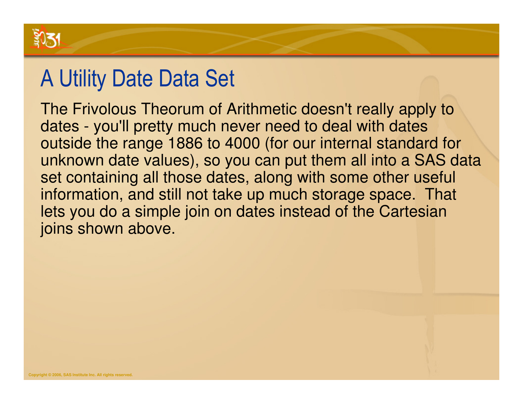

#### A Utility Date Data Set

The Frivolous Theorum of Arithmetic doesn't really apply to dates - you'll pretty much never need to deal with dates outside the range 1886 to 4000 (for our internal standard for unknown date values), so you can put them all into a SAS data set containing all those dates, along with some other useful information, and still not take up much storage space. That lets you do a simple join on dates instead of the Cartesian joins shown above.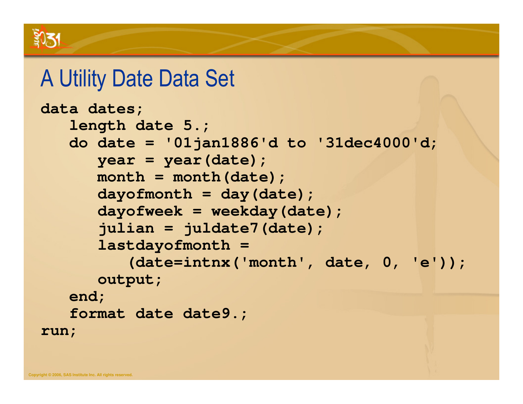#### A Utility Date Data Set

```
data dates;
length date 5.;
do date = '01jan1886'd to '31dec4000'd;year = year(date);
month = month(date);
dayofmonth = day(date);
      dayofweek = weekday(date);
      julian = juldate7(date);
      lastdayofmonth =
         (date=intnx('month', date, 0, 'e'));output;end;
format date date9.;run;
```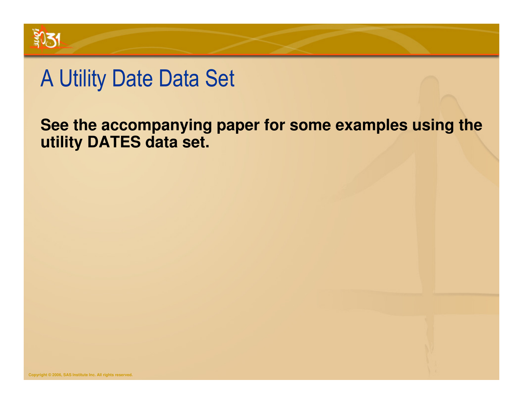

#### A Utility Date Data Set

#### **See the accompanying paper for some examples using the utility DATES data set.**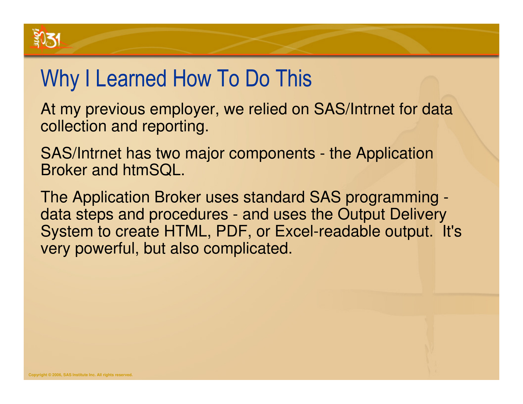# Why I Learned How To Do This

At my previous employer, we relied on SAS/Intrnet for data collection and reporting.

SAS/Intrnet has two major components - the Application Broker and htmSQL.

The Application Broker uses standard SAS programming data steps and procedures - and uses the Output Delivery System to create HTML, PDF, or Excel-readable output. It's very powerful, but also complicated.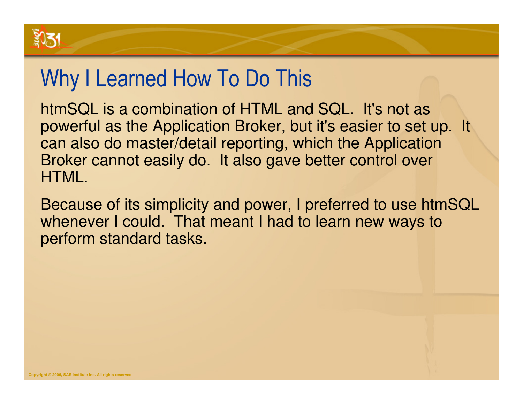# Why I Learned How To Do This

htmSQL is a combination of HTML and SQL. It's not as powerful as the Application Broker, but it's easier to set up. It can also do master/detail reporting, which the Application Broker cannot easily do. It also gave better control over HTML.

Because of its simplicity and power, I preferred to use htmSQL whenever I could. That meant I had to learn new ways to perform standard tasks.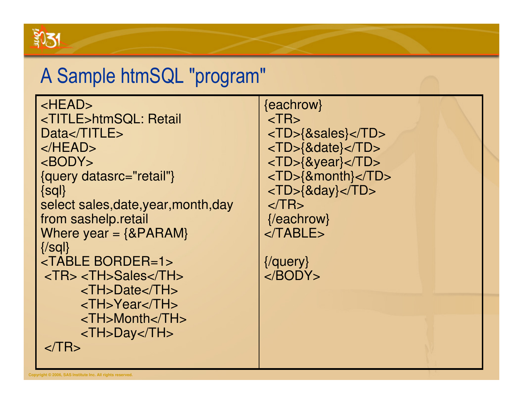

#### A Sample htmSQL "program"

<HEAD> <TITLE>htmSQL: Retail Data</TITLE> </HEAD> <BODY> {query datasrc="retail"}{sql} select sales,date,year,month,dayfrom sashelp.retailWhere year  $=$   ${8PARAM}$ {/sql} <TABLE BORDER=1> <TR> <TH>Sales</TH> <TH>Date</TH> <TH>Year</TH> <TH>Month</TH><TH>Day</TH> $<$ /TR $>$ 

{eachrow} $<$ TR $>$  <TD>{&sales}</TD> <TD>{&date}</TD> <TD>{&year}</TD> <TD>{&month}</TD><TD>{&day}</TD> $\langle$ TR $>$  {/eachrow}</TABLE>

{/query}</BODY>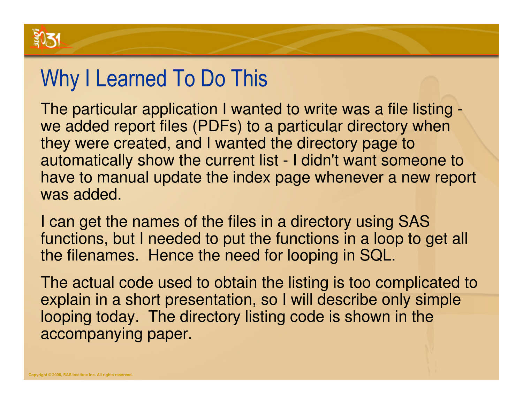

#### Why I Learned To Do This

The particular application I wanted to write was a file listing we added report files (PDFs) to a particular directory when they were created, and I wanted the directory page to automatically show the current list - I didn't want someone to have to manual update the index page whenever a new report was added.

I can get the names of the files in a directory using SAS functions, but I needed to put the functions in a loop to get all the filenames. Hence the need for looping in SQL.

The actual code used to obtain the listing is too complicated toexplain in a short presentation, so I will describe only simple looping today. The directory listing code is shown in the accompanying paper.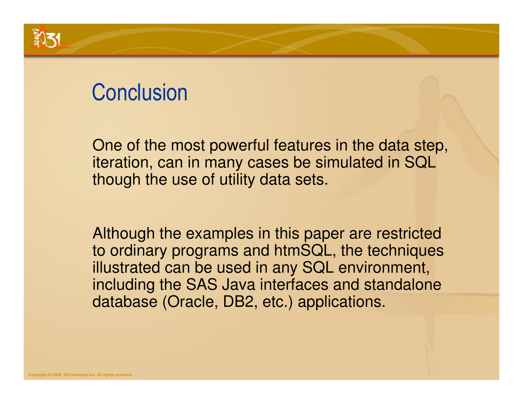#### **Conclusion**

One of the most powerful features in the data step,iteration, can in many cases be simulated in SQL though the use of utility data sets.

Although the examples in this paper are restricted to ordinary programs and htmSQL, the techniques illustrated can be used in any SQL environment, including the SAS Java interfaces and standalone database (Oracle, DB2, etc.) applications.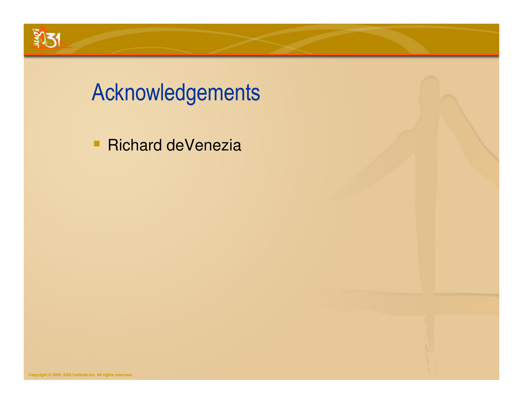

# Acknowledgements

**Richard deVenezia**